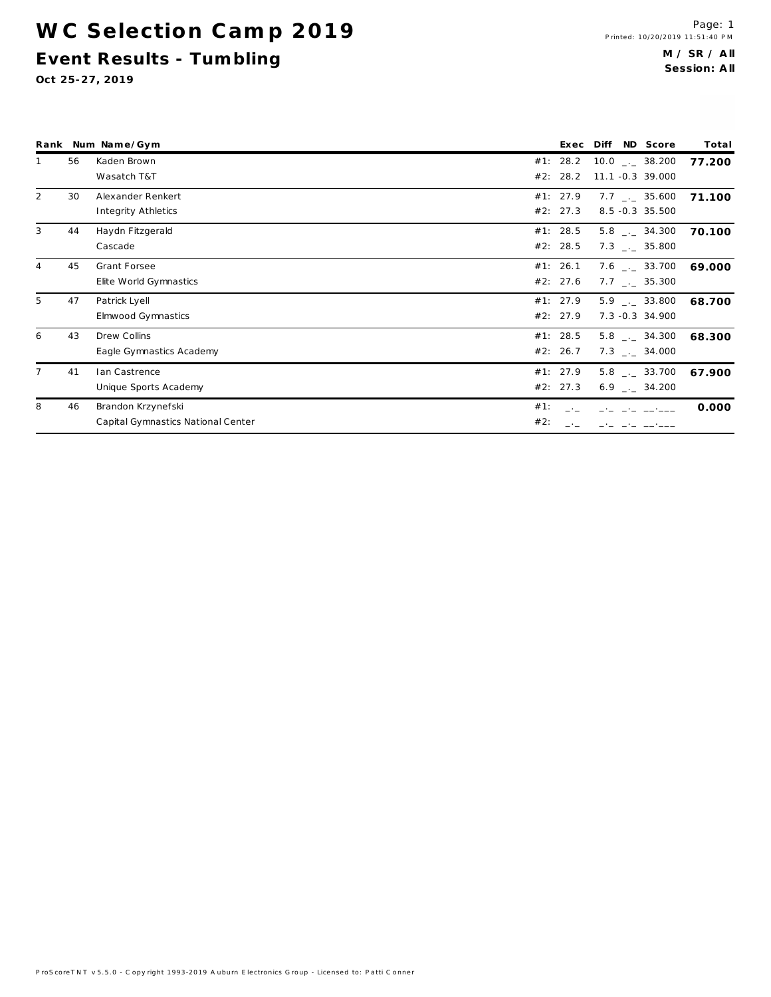WC Selection Camp 2019 Event Results - Tumbling

|                |    | Rank Num Name/Gym                  | Exec     | Diff ND Score                       | Total  |
|----------------|----|------------------------------------|----------|-------------------------------------|--------|
|                | 56 | Kaden Brown                        | #1: 28.2 | $10.0$ $_{\circ}$ $_{\circ}$ 38.200 | 77.200 |
|                |    | Wasatch T&T                        | #2: 28.2 | 11.1 -0.3 39.000                    |        |
| 2              | 30 | Alexander Renkert                  | #1: 27.9 | $7.7$ $_{\leftarrow}$ 35.600        | 71.100 |
|                |    | Integrity Athletics                | #2: 27.3 | 8.5 -0.3 35.500                     |        |
| 3              | 44 | Haydn Fitzgerald                   | #1: 28.5 | $5.8$ $-.2$ 34.300                  | 70.100 |
|                |    | Cascade                            | #2: 28.5 | $7.3$ $-.$ 35.800                   |        |
| 4              | 45 | Grant Forsee                       | #1: 26.1 | 7.6 $\qquad$ _. _ 33.700            | 69.000 |
|                |    | Elite World Gymnastics             | #2: 27.6 | $7.7$ $_{\leftarrow}$ 35.300        |        |
| 5              | 47 | Patrick Lyell                      | #1: 27.9 | $5.9$ $-.$ 33.800                   | 68.700 |
|                |    | Elmwood Gymnastics                 | #2: 27.9 | 7.3 -0.3 34.900                     |        |
| 6              | 43 | Drew Collins                       | #1: 28.5 | $5.8$ $-.2$ 34.300                  | 68.300 |
|                |    | Eagle Gymnastics Academy           | #2: 26.7 | $7.3$ $-.$ 34.000                   |        |
| $\overline{7}$ | 41 | lan Castrence                      | #1: 27.9 | $5.8$ $-.2$ 33.700                  | 67.900 |
|                |    | Unique Sports Academy              | #2: 27.3 | $6.9$ $_{\leftarrow}$ 34.200        |        |
| 8              | 46 | Brandon Krzynefski                 | #1:      |                                     | 0.000  |
|                |    | Capital Gymnastics National Center | #2:      |                                     |        |